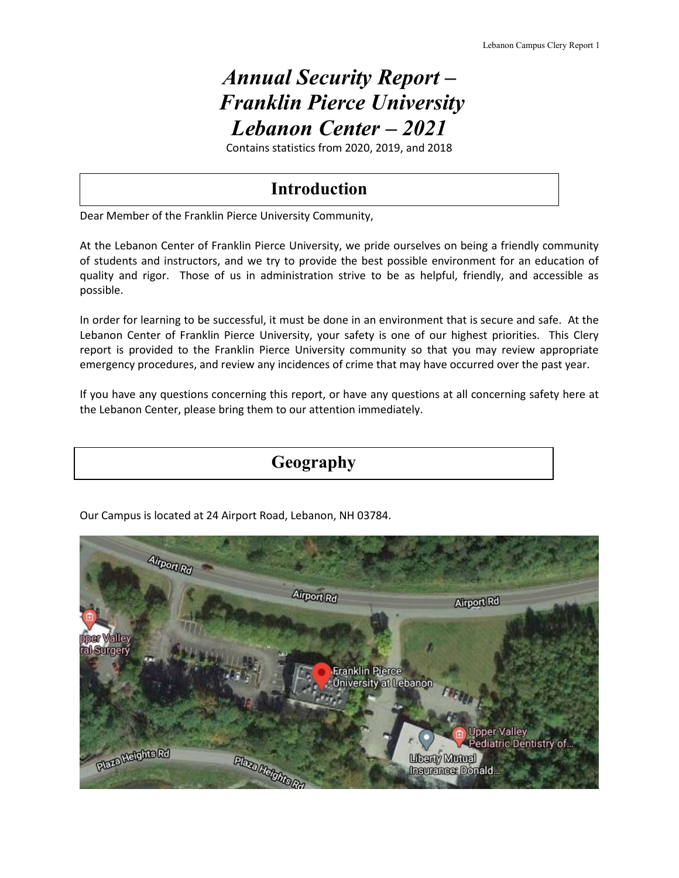# *Annual Security Report – Franklin Pierce University Lebanon Center – 2021*

Contains statistics from 2020, 2019, and 2018

## **Introduction**

Dear Member of the Franklin Pierce University Community,

At the Lebanon Center of Franklin Pierce University, we pride ourselves on being a friendly community of students and instructors, and we try to provide the best possible environment for an education of quality and rigor. Those of us in administration strive to be as helpful, friendly, and accessible as possible.

In order for learning to be successful, it must be done in an environment that is secure and safe. At the Lebanon Center of Franklin Pierce University, your safety is one of our highest priorities. This Clery report is provided to the Franklin Pierce University community so that you may review appropriate emergency procedures, and review any incidences of crime that may have occurred over the past year.

If you have any questions concerning this report, or have any questions at all concerning safety here at the Lebanon Center, please bring them to our attention immediately.





Our Campus is located at 24 Airport Road, Lebanon, NH 03784.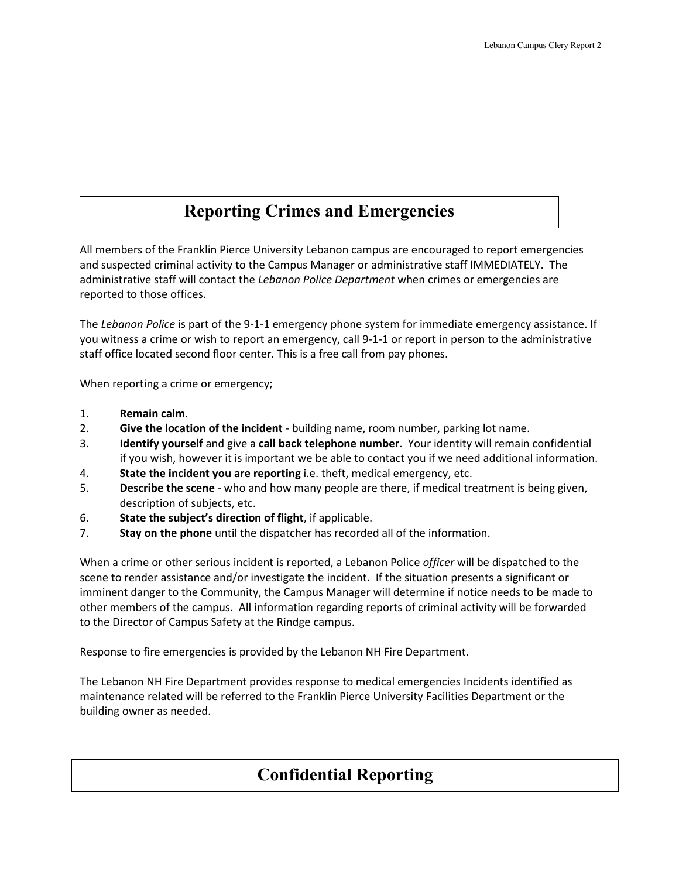## **Reporting Crimes and Emergencies**

All members of the Franklin Pierce University Lebanon campus are encouraged to report emergencies and suspected criminal activity to the Campus Manager or administrative staff IMMEDIATELY. The administrative staff will contact the *Lebanon Police Department* when crimes or emergencies are reported to those offices.

The *Lebanon Police* is part of the 9-1-1 emergency phone system for immediate emergency assistance. If you witness a crime or wish to report an emergency, call 9-1-1 or report in person to the administrative staff office located second floor center*.* This is a free call from pay phones.

When reporting a crime or emergency;

- 1. **Remain calm**.
- 2. **Give the location of the incident** building name, room number, parking lot name.
- 3. **Identify yourself** and give a **call back telephone number**. Your identity will remain confidential if you wish, however it is important we be able to contact you if we need additional information.
- 4. **State the incident you are reporting** i.e. theft, medical emergency, etc.
- 5. **Describe the scene** who and how many people are there, if medical treatment is being given, description of subjects, etc.
- 6. **State the subject's direction of flight**, if applicable.
- 7. **Stay on the phone** until the dispatcher has recorded all of the information.

When a crime or other serious incident is reported, a Lebanon Police *officer* will be dispatched to the scene to render assistance and/or investigate the incident. If the situation presents a significant or imminent danger to the Community, the Campus Manager will determine if notice needs to be made to other members of the campus. All information regarding reports of criminal activity will be forwarded to the Director of Campus Safety at the Rindge campus.

Response to fire emergencies is provided by the Lebanon NH Fire Department.

The Lebanon NH Fire Department provides response to medical emergencies Incidents identified as maintenance related will be referred to the Franklin Pierce University Facilities Department or the building owner as needed.

## **Confidential Reporting**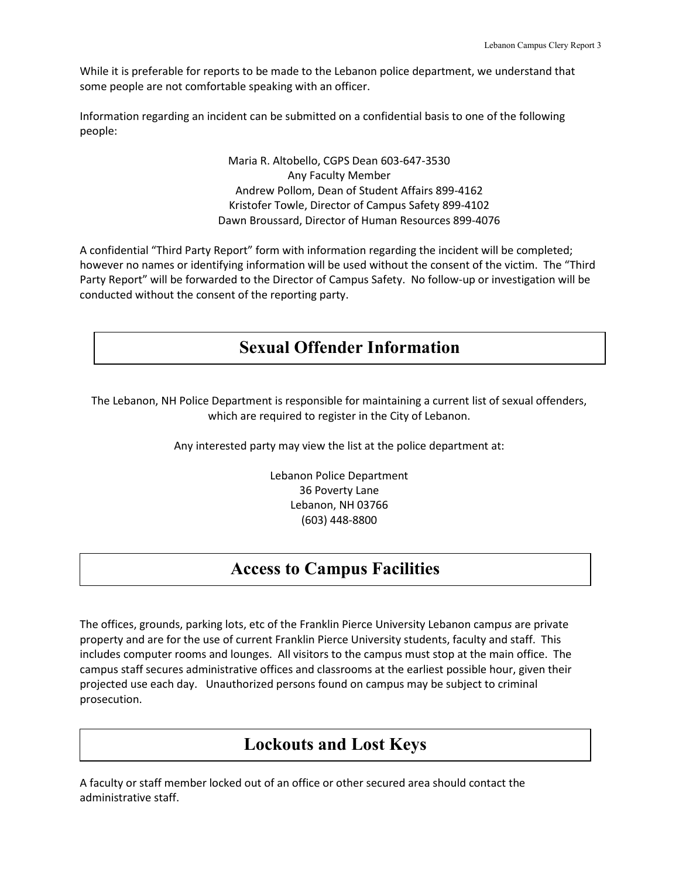While it is preferable for reports to be made to the Lebanon police department, we understand that some people are not comfortable speaking with an officer.

Information regarding an incident can be submitted on a confidential basis to one of the following people:

> Maria R. Altobello, CGPS Dean 603-647-3530 Any Faculty Member Andrew Pollom, Dean of Student Affairs 899-4162 Kristofer Towle, Director of Campus Safety 899-4102 Dawn Broussard, Director of Human Resources 899-4076

A confidential "Third Party Report" form with information regarding the incident will be completed; however no names or identifying information will be used without the consent of the victim. The "Third Party Report" will be forwarded to the Director of Campus Safety. No follow-up or investigation will be conducted without the consent of the reporting party.

## **Sexual Offender Information**

The Lebanon, NH Police Department is responsible for maintaining a current list of sexual offenders, which are required to register in the City of Lebanon.

Any interested party may view the list at the police department at:

Lebanon Police Department 36 Poverty Lane Lebanon, NH 03766 (603) 448-8800

### **Access to Campus Facilities**

The offices, grounds, parking lots, etc of the Franklin Pierce University Lebanon campu*s* are private property and are for the use of current Franklin Pierce University students, faculty and staff. This includes computer rooms and lounges. All visitors to the campus must stop at the main office. The campus staff secures administrative offices and classrooms at the earliest possible hour, given their projected use each day. Unauthorized persons found on campus may be subject to criminal prosecution.

### **Lockouts and Lost Keys**

A faculty or staff member locked out of an office or other secured area should contact the administrative staff.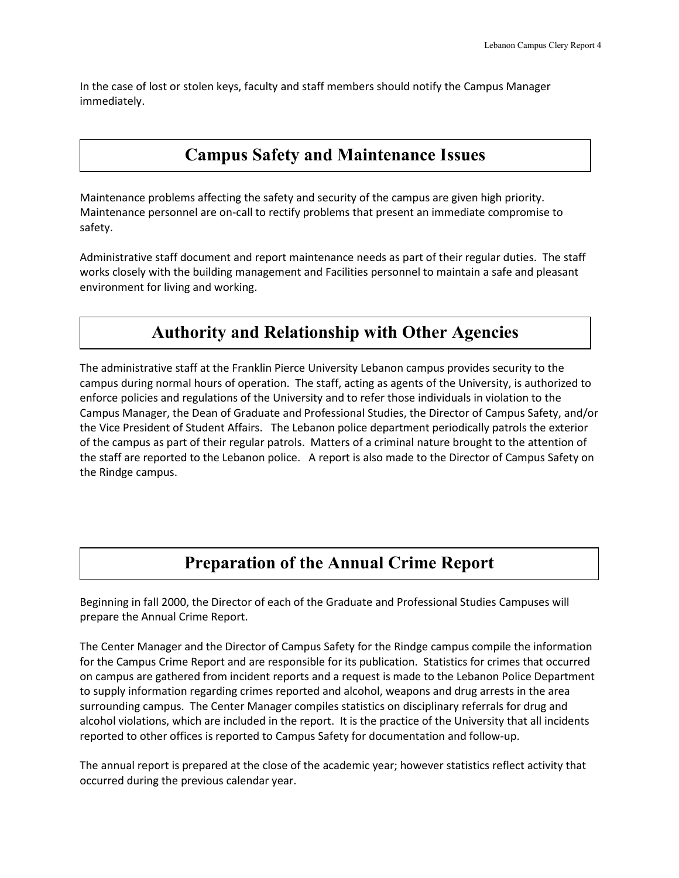In the case of lost or stolen keys, faculty and staff members should notify the Campus Manager immediately.

## **Campus Safety and Maintenance Issues**

Maintenance problems affecting the safety and security of the campus are given high priority. Maintenance personnel are on-call to rectify problems that present an immediate compromise to safety.

Administrative staff document and report maintenance needs as part of their regular duties. The staff works closely with the building management and Facilities personnel to maintain a safe and pleasant environment for living and working.

## **Authority and Relationship with Other Agencies**

The administrative staff at the Franklin Pierce University Lebanon campus provides security to the campus during normal hours of operation. The staff, acting as agents of the University, is authorized to enforce policies and regulations of the University and to refer those individuals in violation to the Campus Manager, the Dean of Graduate and Professional Studies, the Director of Campus Safety, and/or the Vice President of Student Affairs. The Lebanon police department periodically patrols the exterior of the campus as part of their regular patrols. Matters of a criminal nature brought to the attention of the staff are reported to the Lebanon police. A report is also made to the Director of Campus Safety on the Rindge campus.

# **Preparation of the Annual Crime Report**

Beginning in fall 2000, the Director of each of the Graduate and Professional Studies Campuses will prepare the Annual Crime Report.

The Center Manager and the Director of Campus Safety for the Rindge campus compile the information for the Campus Crime Report and are responsible for its publication. Statistics for crimes that occurred on campus are gathered from incident reports and a request is made to the Lebanon Police Department to supply information regarding crimes reported and alcohol, weapons and drug arrests in the area surrounding campus. The Center Manager compiles statistics on disciplinary referrals for drug and alcohol violations, which are included in the report. It is the practice of the University that all incidents reported to other offices is reported to Campus Safety for documentation and follow-up.

The annual report is prepared at the close of the academic year; however statistics reflect activity that occurred during the previous calendar year.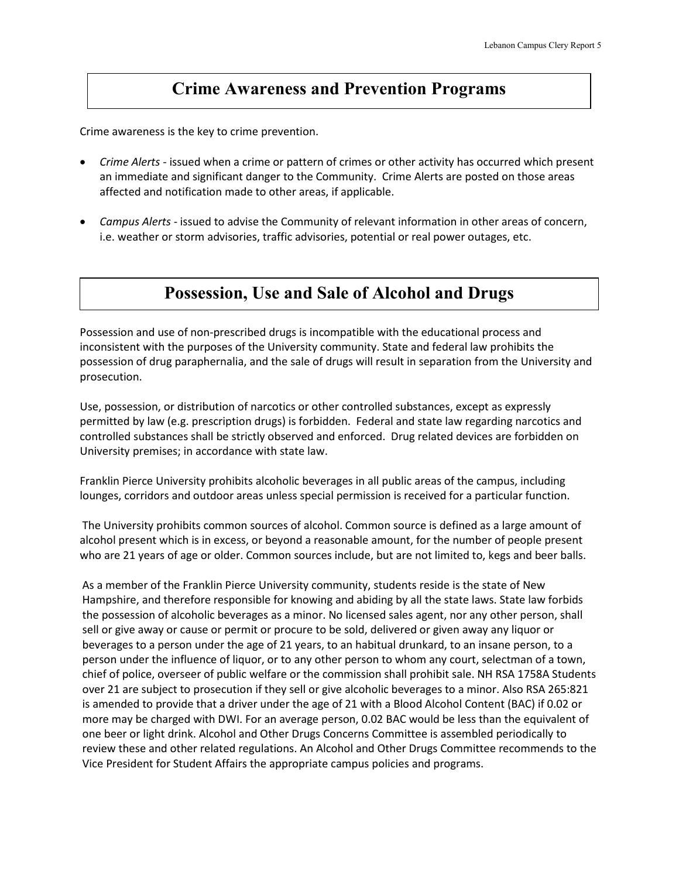## **Crime Awareness and Prevention Programs**

Crime awareness is the key to crime prevention.

- *Crime Alerts* issued when a crime or pattern of crimes or other activity has occurred which present an immediate and significant danger to the Community. Crime Alerts are posted on those areas affected and notification made to other areas, if applicable.
- *Campus Alerts* issued to advise the Community of relevant information in other areas of concern, i.e. weather or storm advisories, traffic advisories, potential or real power outages, etc.

## **Possession, Use and Sale of Alcohol and Drugs**

Possession and use of non-prescribed drugs is incompatible with the educational process and inconsistent with the purposes of the University community. State and federal law prohibits the possession of drug paraphernalia, and the sale of drugs will result in separation from the University and prosecution.

Use, possession, or distribution of narcotics or other controlled substances, except as expressly permitted by law (e.g. prescription drugs) is forbidden. Federal and state law regarding narcotics and controlled substances shall be strictly observed and enforced. Drug related devices are forbidden on University premises; in accordance with state law.

Franklin Pierce University prohibits alcoholic beverages in all public areas of the campus, including lounges, corridors and outdoor areas unless special permission is received for a particular function.

The University prohibits common sources of alcohol. Common source is defined as a large amount of alcohol present which is in excess, or beyond a reasonable amount, for the number of people present who are 21 years of age or older. Common sources include, but are not limited to, kegs and beer balls.

As a member of the Franklin Pierce University community, students reside is the state of New Hampshire, and therefore responsible for knowing and abiding by all the state laws. State law forbids the possession of alcoholic beverages as a minor. No licensed sales agent, nor any other person, shall sell or give away or cause or permit or procure to be sold, delivered or given away any liquor or beverages to a person under the age of 21 years, to an habitual drunkard, to an insane person, to a person under the influence of liquor, or to any other person to whom any court, selectman of a town, chief of police, overseer of public welfare or the commission shall prohibit sale. NH RSA 1758A Students over 21 are subject to prosecution if they sell or give alcoholic beverages to a minor. Also RSA 265:821 is amended to provide that a driver under the age of 21 with a Blood Alcohol Content (BAC) if 0.02 or more may be charged with DWI. For an average person, 0.02 BAC would be less than the equivalent of one beer or light drink. Alcohol and Other Drugs Concerns Committee is assembled periodically to review these and other related regulations. An Alcohol and Other Drugs Committee recommends to the Vice President for Student Affairs the appropriate campus policies and programs.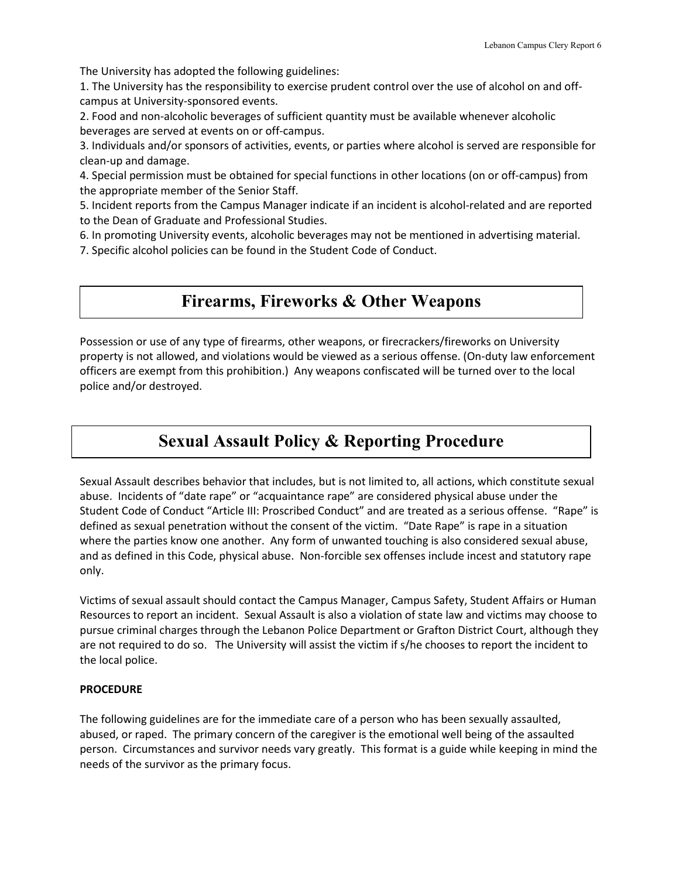The University has adopted the following guidelines:

1. The University has the responsibility to exercise prudent control over the use of alcohol on and offcampus at University-sponsored events.

2. Food and non-alcoholic beverages of sufficient quantity must be available whenever alcoholic beverages are served at events on or off-campus.

3. Individuals and/or sponsors of activities, events, or parties where alcohol is served are responsible for clean-up and damage.

4. Special permission must be obtained for special functions in other locations (on or off-campus) from the appropriate member of the Senior Staff.

5. Incident reports from the Campus Manager indicate if an incident is alcohol-related and are reported to the Dean of Graduate and Professional Studies.

6. In promoting University events, alcoholic beverages may not be mentioned in advertising material.

7. Specific alcohol policies can be found in the Student Code of Conduct.

### **Firearms, Fireworks & Other Weapons**

Possession or use of any type of firearms, other weapons, or firecrackers/fireworks on University property is not allowed, and violations would be viewed as a serious offense. (On-duty law enforcement officers are exempt from this prohibition.) Any weapons confiscated will be turned over to the local police and/or destroyed.

# **Sexual Assault Policy & Reporting Procedure**

Sexual Assault describes behavior that includes, but is not limited to, all actions, which constitute sexual abuse. Incidents of "date rape" or "acquaintance rape" are considered physical abuse under the Student Code of Conduct "Article III: Proscribed Conduct" and are treated as a serious offense. "Rape" is defined as sexual penetration without the consent of the victim. "Date Rape" is rape in a situation where the parties know one another. Any form of unwanted touching is also considered sexual abuse, and as defined in this Code, physical abuse. Non-forcible sex offenses include incest and statutory rape only.

Victims of sexual assault should contact the Campus Manager, Campus Safety, Student Affairs or Human Resources to report an incident. Sexual Assault is also a violation of state law and victims may choose to pursue criminal charges through the Lebanon Police Department or Grafton District Court, although they are not required to do so. The University will assist the victim if s/he chooses to report the incident to the local police.

### **PROCEDURE**

The following guidelines are for the immediate care of a person who has been sexually assaulted, abused, or raped. The primary concern of the caregiver is the emotional well being of the assaulted person. Circumstances and survivor needs vary greatly. This format is a guide while keeping in mind the needs of the survivor as the primary focus.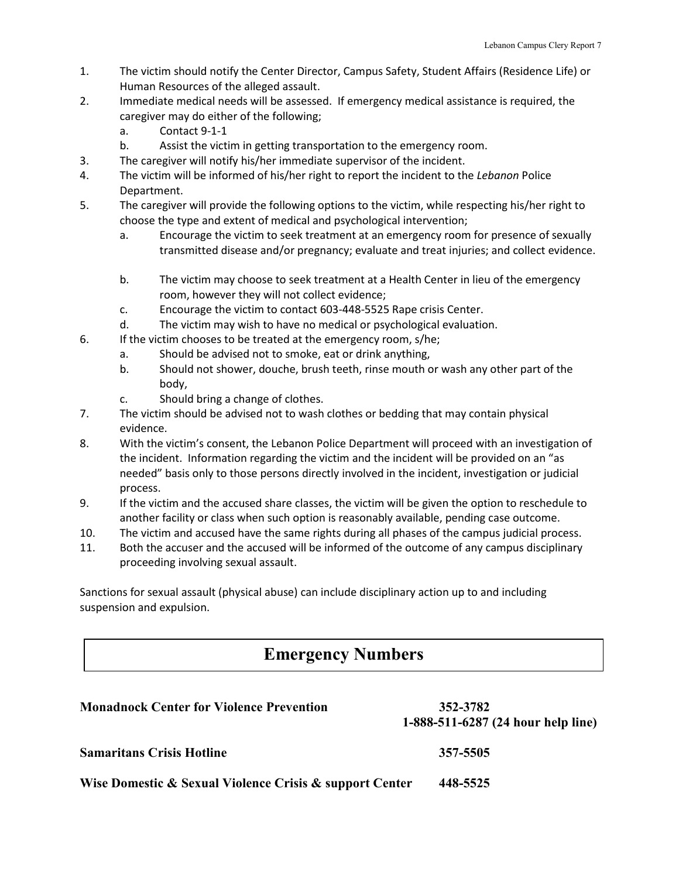- 1. The victim should notify the Center Director, Campus Safety, Student Affairs (Residence Life) or Human Resources of the alleged assault.
- 2. Immediate medical needs will be assessed. If emergency medical assistance is required, the caregiver may do either of the following;
	- a. Contact 9-1-1
	- b. Assist the victim in getting transportation to the emergency room.
- 3. The caregiver will notify his/her immediate supervisor of the incident.
- 4. The victim will be informed of his/her right to report the incident to the *Lebanon* Police Department.
- 5. The caregiver will provide the following options to the victim, while respecting his/her right to choose the type and extent of medical and psychological intervention;
	- a. Encourage the victim to seek treatment at an emergency room for presence of sexually transmitted disease and/or pregnancy; evaluate and treat injuries; and collect evidence.
	- b. The victim may choose to seek treatment at a Health Center in lieu of the emergency room, however they will not collect evidence;
	- c. Encourage the victim to contact 603-448-5525 Rape crisis Center.
	- d. The victim may wish to have no medical or psychological evaluation.
- 6. If the victim chooses to be treated at the emergency room, s/he;
	- a. Should be advised not to smoke, eat or drink anything,
	- b. Should not shower, douche, brush teeth, rinse mouth or wash any other part of the body,
	- c. Should bring a change of clothes.
- 7. The victim should be advised not to wash clothes or bedding that may contain physical evidence.
- 8. With the victim's consent, the Lebanon Police Department will proceed with an investigation of the incident. Information regarding the victim and the incident will be provided on an "as needed" basis only to those persons directly involved in the incident, investigation or judicial process.
- 9. If the victim and the accused share classes, the victim will be given the option to reschedule to another facility or class when such option is reasonably available, pending case outcome.
- 10. The victim and accused have the same rights during all phases of the campus judicial process.
- 11. Both the accuser and the accused will be informed of the outcome of any campus disciplinary proceeding involving sexual assault.

Sanctions for sexual assault (physical abuse) can include disciplinary action up to and including suspension and expulsion.

## **Emergency Numbers**

| <b>Monadnock Center for Violence Prevention</b>         | 352-3782<br>1-888-511-6287 (24 hour help line) |
|---------------------------------------------------------|------------------------------------------------|
| <b>Samaritans Crisis Hotline</b>                        | 357-5505                                       |
| Wise Domestic & Sexual Violence Crisis & support Center | 448-5525                                       |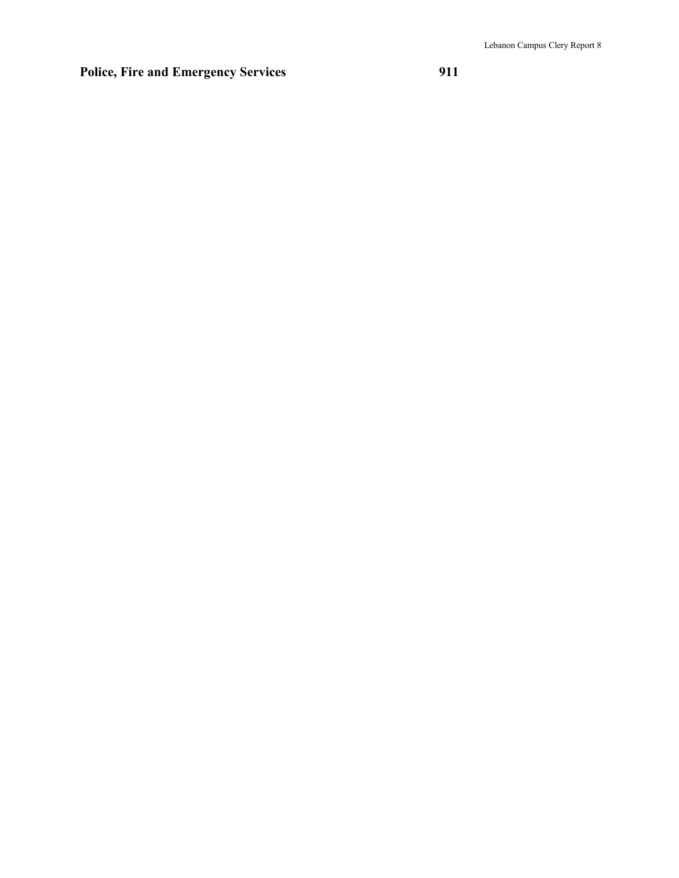### **Police, Fire and Emergency Services 911**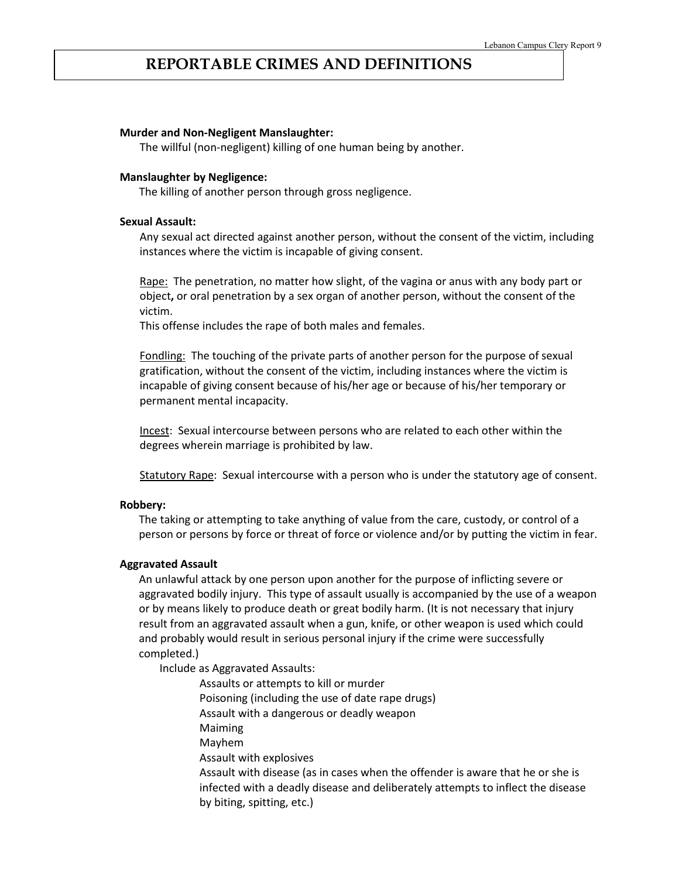### **REPORTABLE CRIMES AND DEFINITIONS**

#### **Murder and Non-Negligent Manslaughter:**

The willful (non-negligent) killing of one human being by another.

#### **Manslaughter by Negligence:**

The killing of another person through gross negligence.

#### **Sexual Assault:**

Any sexual act directed against another person, without the consent of the victim, including instances where the victim is incapable of giving consent.

Rape:The penetration, no matter how slight, of the vagina or anus with any body part or object**,** or oral penetration by a sex organ of another person, without the consent of the victim.

This offense includes the rape of both males and females.

Fondling:The touching of the private parts of another person for the purpose of sexual gratification, without the consent of the victim, including instances where the victim is incapable of giving consent because of his/her age or because of his/her temporary or permanent mental incapacity.

Incest: Sexual intercourse between persons who are related to each other within the degrees wherein marriage is prohibited by law.

Statutory Rape: Sexual intercourse with a person who is under the statutory age of consent.

#### **Robbery:**

The taking or attempting to take anything of value from the care, custody, or control of a person or persons by force or threat of force or violence and/or by putting the victim in fear.

#### **Aggravated Assault**

An unlawful attack by one person upon another for the purpose of inflicting severe or aggravated bodily injury. This type of assault usually is accompanied by the use of a weapon or by means likely to produce death or great bodily harm. (It is not necessary that injury result from an aggravated assault when a gun, knife, or other weapon is used which could and probably would result in serious personal injury if the crime were successfully completed.)

Include as Aggravated Assaults:

Assaults or attempts to kill or murder Poisoning (including the use of date rape drugs) Assault with a dangerous or deadly weapon Maiming Mayhem Assault with explosives Assault with disease (as in cases when the offender is aware that he or she is infected with a deadly disease and deliberately attempts to inflect the disease by biting, spitting, etc.)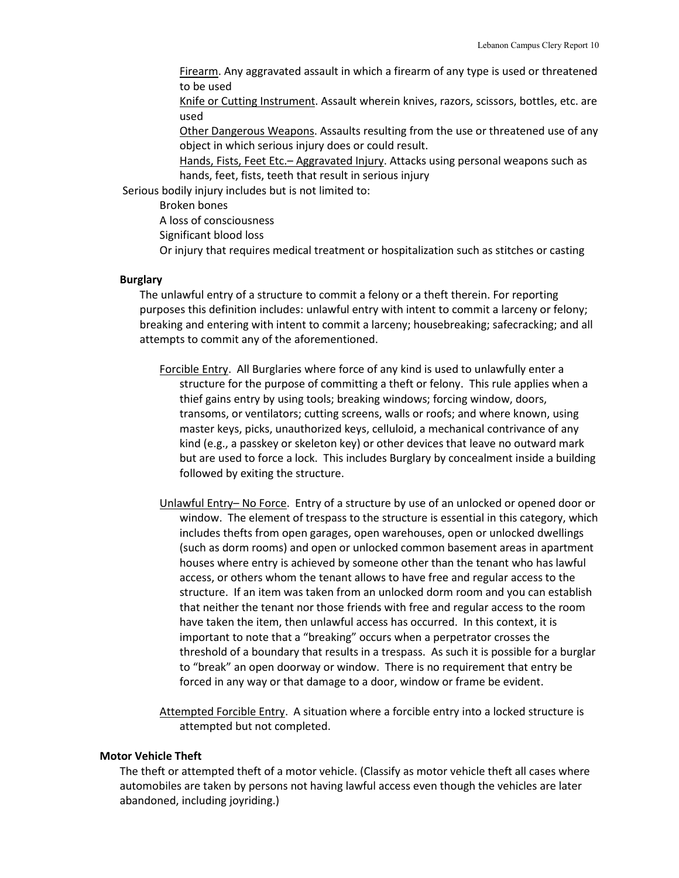Firearm. Any aggravated assault in which a firearm of any type is used or threatened to be used

Knife or Cutting Instrument. Assault wherein knives, razors, scissors, bottles, etc. are used

Other Dangerous Weapons. Assaults resulting from the use or threatened use of any object in which serious injury does or could result.

Hands, Fists, Feet Etc.– Aggravated Injury. Attacks using personal weapons such as hands, feet, fists, teeth that result in serious injury

Serious bodily injury includes but is not limited to:

Broken bones

A loss of consciousness

Significant blood loss

Or injury that requires medical treatment or hospitalization such as stitches or casting

#### **Burglary**

The unlawful entry of a structure to commit a felony or a theft therein. For reporting purposes this definition includes: unlawful entry with intent to commit a larceny or felony; breaking and entering with intent to commit a larceny; housebreaking; safecracking; and all attempts to commit any of the aforementioned.

Forcible Entry. All Burglaries where force of any kind is used to unlawfully enter a structure for the purpose of committing a theft or felony. This rule applies when a thief gains entry by using tools; breaking windows; forcing window, doors, transoms, or ventilators; cutting screens, walls or roofs; and where known, using master keys, picks, unauthorized keys, celluloid, a mechanical contrivance of any kind (e.g., a passkey or skeleton key) or other devices that leave no outward mark but are used to force a lock. This includes Burglary by concealment inside a building followed by exiting the structure.

Unlawful Entry– No Force. Entry of a structure by use of an unlocked or opened door or window. The element of trespass to the structure is essential in this category, which includes thefts from open garages, open warehouses, open or unlocked dwellings (such as dorm rooms) and open or unlocked common basement areas in apartment houses where entry is achieved by someone other than the tenant who has lawful access, or others whom the tenant allows to have free and regular access to the structure. If an item was taken from an unlocked dorm room and you can establish that neither the tenant nor those friends with free and regular access to the room have taken the item, then unlawful access has occurred. In this context, it is important to note that a "breaking" occurs when a perpetrator crosses the threshold of a boundary that results in a trespass. As such it is possible for a burglar to "break" an open doorway or window. There is no requirement that entry be forced in any way or that damage to a door, window or frame be evident.

Attempted Forcible Entry. A situation where a forcible entry into a locked structure is attempted but not completed.

#### **Motor Vehicle Theft**

The theft or attempted theft of a motor vehicle. (Classify as motor vehicle theft all cases where automobiles are taken by persons not having lawful access even though the vehicles are later abandoned, including joyriding.)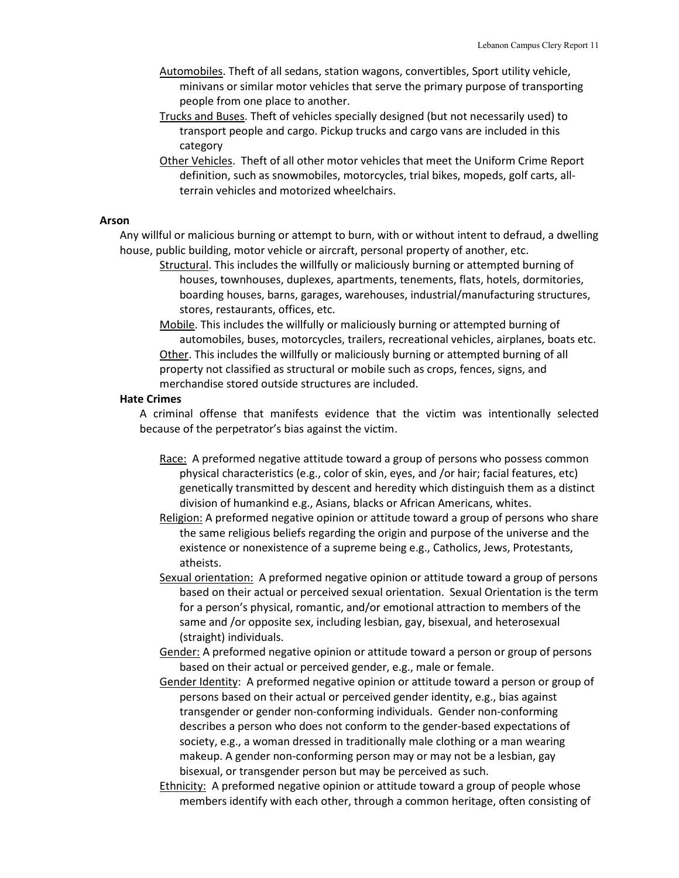- Automobiles. Theft of all sedans, station wagons, convertibles, Sport utility vehicle, minivans or similar motor vehicles that serve the primary purpose of transporting people from one place to another.
- Trucks and Buses. Theft of vehicles specially designed (but not necessarily used) to transport people and cargo. Pickup trucks and cargo vans are included in this category
- Other Vehicles. Theft of all other motor vehicles that meet the Uniform Crime Report definition, such as snowmobiles, motorcycles, trial bikes, mopeds, golf carts, allterrain vehicles and motorized wheelchairs.

#### **Arson**

Any willful or malicious burning or attempt to burn, with or without intent to defraud, a dwelling house, public building, motor vehicle or aircraft, personal property of another, etc.

Structural. This includes the willfully or maliciously burning or attempted burning of houses, townhouses, duplexes, apartments, tenements, flats, hotels, dormitories, boarding houses, barns, garages, warehouses, industrial/manufacturing structures, stores, restaurants, offices, etc.

Mobile. This includes the willfully or maliciously burning or attempted burning of automobiles, buses, motorcycles, trailers, recreational vehicles, airplanes, boats etc. Other. This includes the willfully or maliciously burning or attempted burning of all property not classified as structural or mobile such as crops, fences, signs, and merchandise stored outside structures are included.

#### **Hate Crimes**

A criminal offense that manifests evidence that the victim was intentionally selected because of the perpetrator's bias against the victim.

- Race: A preformed negative attitude toward a group of persons who possess common physical characteristics (e.g., color of skin, eyes, and /or hair; facial features, etc) genetically transmitted by descent and heredity which distinguish them as a distinct division of humankind e.g., Asians, blacks or African Americans, whites.
- Religion: A preformed negative opinion or attitude toward a group of persons who share the same religious beliefs regarding the origin and purpose of the universe and the existence or nonexistence of a supreme being e.g., Catholics, Jews, Protestants, atheists.
- Sexual orientation: A preformed negative opinion or attitude toward a group of persons based on their actual or perceived sexual orientation. Sexual Orientation is the term for a person's physical, romantic, and/or emotional attraction to members of the same and /or opposite sex, including lesbian, gay, bisexual, and heterosexual (straight) individuals.
- Gender: A preformed negative opinion or attitude toward a person or group of persons based on their actual or perceived gender, e.g., male or female.
- Gender Identity: A preformed negative opinion or attitude toward a person or group of persons based on their actual or perceived gender identity, e.g., bias against transgender or gender non-conforming individuals. Gender non-conforming describes a person who does not conform to the gender-based expectations of society, e.g., a woman dressed in traditionally male clothing or a man wearing makeup. A gender non-conforming person may or may not be a lesbian, gay bisexual, or transgender person but may be perceived as such.
- Ethnicity: A preformed negative opinion or attitude toward a group of people whose members identify with each other, through a common heritage, often consisting of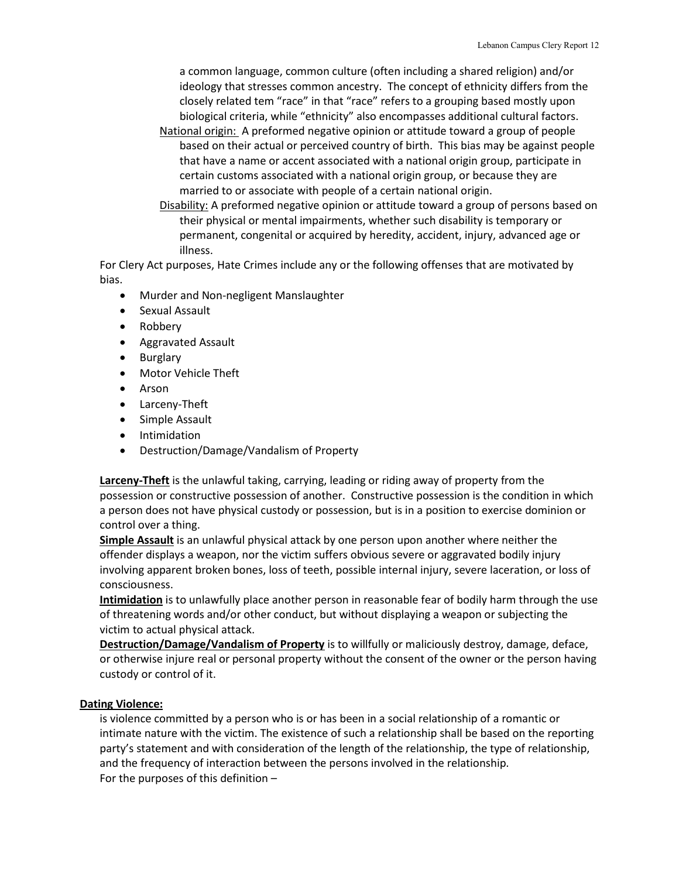a common language, common culture (often including a shared religion) and/or ideology that stresses common ancestry. The concept of ethnicity differs from the closely related tem "race" in that "race" refers to a grouping based mostly upon biological criteria, while "ethnicity" also encompasses additional cultural factors.

- National origin: A preformed negative opinion or attitude toward a group of people based on their actual or perceived country of birth. This bias may be against people that have a name or accent associated with a national origin group, participate in certain customs associated with a national origin group, or because they are married to or associate with people of a certain national origin.
- Disability: A preformed negative opinion or attitude toward a group of persons based on their physical or mental impairments, whether such disability is temporary or permanent, congenital or acquired by heredity, accident, injury, advanced age or illness.

For Clery Act purposes, Hate Crimes include any or the following offenses that are motivated by bias.

- Murder and Non-negligent Manslaughter
- Sexual Assault
- Robbery
- Aggravated Assault
- Burglary
- Motor Vehicle Theft
- Arson
- Larceny-Theft
- Simple Assault
- Intimidation
- Destruction/Damage/Vandalism of Property

**Larceny-Theft** is the unlawful taking, carrying, leading or riding away of property from the possession or constructive possession of another. Constructive possession is the condition in which a person does not have physical custody or possession, but is in a position to exercise dominion or control over a thing.

**Simple Assault** is an unlawful physical attack by one person upon another where neither the offender displays a weapon, nor the victim suffers obvious severe or aggravated bodily injury involving apparent broken bones, loss of teeth, possible internal injury, severe laceration, or loss of consciousness.

**Intimidation** is to unlawfully place another person in reasonable fear of bodily harm through the use of threatening words and/or other conduct, but without displaying a weapon or subjecting the victim to actual physical attack.

**Destruction/Damage/Vandalism of Property** is to willfully or maliciously destroy, damage, deface, or otherwise injure real or personal property without the consent of the owner or the person having custody or control of it.

### **Dating Violence:**

is violence committed by a person who is or has been in a social relationship of a romantic or intimate nature with the victim. The existence of such a relationship shall be based on the reporting party's statement and with consideration of the length of the relationship, the type of relationship, and the frequency of interaction between the persons involved in the relationship. For the purposes of this definition –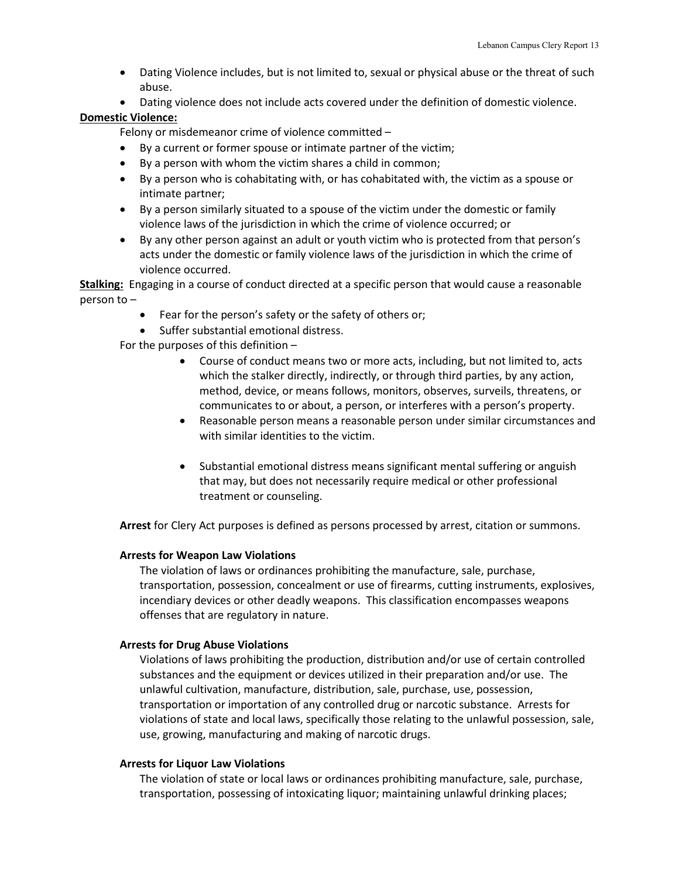- Dating Violence includes, but is not limited to, sexual or physical abuse or the threat of such abuse.
- Dating violence does not include acts covered under the definition of domestic violence.

#### **Domestic Violence:**

Felony or misdemeanor crime of violence committed –

- By a current or former spouse or intimate partner of the victim;
- By a person with whom the victim shares a child in common;
- By a person who is cohabitating with, or has cohabitated with, the victim as a spouse or intimate partner;
- By a person similarly situated to a spouse of the victim under the domestic or family violence laws of the jurisdiction in which the crime of violence occurred; or
- By any other person against an adult or youth victim who is protected from that person's acts under the domestic or family violence laws of the jurisdiction in which the crime of violence occurred.

**Stalking:** Engaging in a course of conduct directed at a specific person that would cause a reasonable person to –

- Fear for the person's safety or the safety of others or;
- Suffer substantial emotional distress.

For the purposes of this definition –

- Course of conduct means two or more acts, including, but not limited to, acts which the stalker directly, indirectly, or through third parties, by any action, method, device, or means follows, monitors, observes, surveils, threatens, or communicates to or about, a person, or interferes with a person's property.
- Reasonable person means a reasonable person under similar circumstances and with similar identities to the victim.
- Substantial emotional distress means significant mental suffering or anguish that may, but does not necessarily require medical or other professional treatment or counseling.

**Arrest** for Clery Act purposes is defined as persons processed by arrest, citation or summons.

#### **Arrests for Weapon Law Violations**

The violation of laws or ordinances prohibiting the manufacture, sale, purchase, transportation, possession, concealment or use of firearms, cutting instruments, explosives, incendiary devices or other deadly weapons. This classification encompasses weapons offenses that are regulatory in nature.

#### **Arrests for Drug Abuse Violations**

Violations of laws prohibiting the production, distribution and/or use of certain controlled substances and the equipment or devices utilized in their preparation and/or use. The unlawful cultivation, manufacture, distribution, sale, purchase, use, possession, transportation or importation of any controlled drug or narcotic substance. Arrests for violations of state and local laws, specifically those relating to the unlawful possession, sale, use, growing, manufacturing and making of narcotic drugs.

#### **Arrests for Liquor Law Violations**

The violation of state or local laws or ordinances prohibiting manufacture, sale, purchase, transportation, possessing of intoxicating liquor; maintaining unlawful drinking places;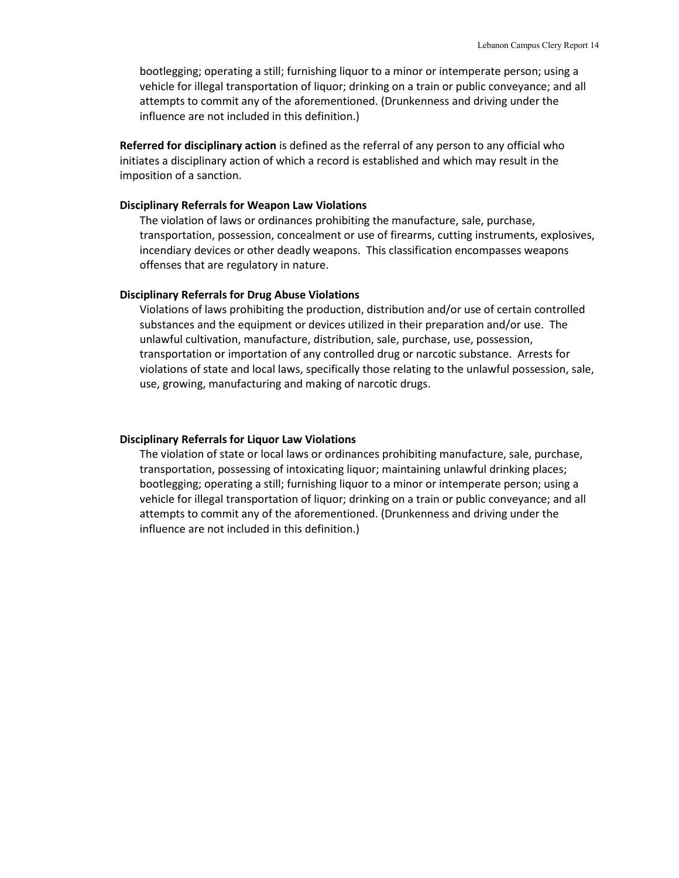bootlegging; operating a still; furnishing liquor to a minor or intemperate person; using a vehicle for illegal transportation of liquor; drinking on a train or public conveyance; and all attempts to commit any of the aforementioned. (Drunkenness and driving under the influence are not included in this definition.)

**Referred for disciplinary action** is defined as the referral of any person to any official who initiates a disciplinary action of which a record is established and which may result in the imposition of a sanction.

#### **Disciplinary Referrals for Weapon Law Violations**

The violation of laws or ordinances prohibiting the manufacture, sale, purchase, transportation, possession, concealment or use of firearms, cutting instruments, explosives, incendiary devices or other deadly weapons. This classification encompasses weapons offenses that are regulatory in nature.

#### **Disciplinary Referrals for Drug Abuse Violations**

Violations of laws prohibiting the production, distribution and/or use of certain controlled substances and the equipment or devices utilized in their preparation and/or use. The unlawful cultivation, manufacture, distribution, sale, purchase, use, possession, transportation or importation of any controlled drug or narcotic substance. Arrests for violations of state and local laws, specifically those relating to the unlawful possession, sale, use, growing, manufacturing and making of narcotic drugs.

#### **Disciplinary Referrals for Liquor Law Violations**

The violation of state or local laws or ordinances prohibiting manufacture, sale, purchase, transportation, possessing of intoxicating liquor; maintaining unlawful drinking places; bootlegging; operating a still; furnishing liquor to a minor or intemperate person; using a vehicle for illegal transportation of liquor; drinking on a train or public conveyance; and all attempts to commit any of the aforementioned. (Drunkenness and driving under the influence are not included in this definition.)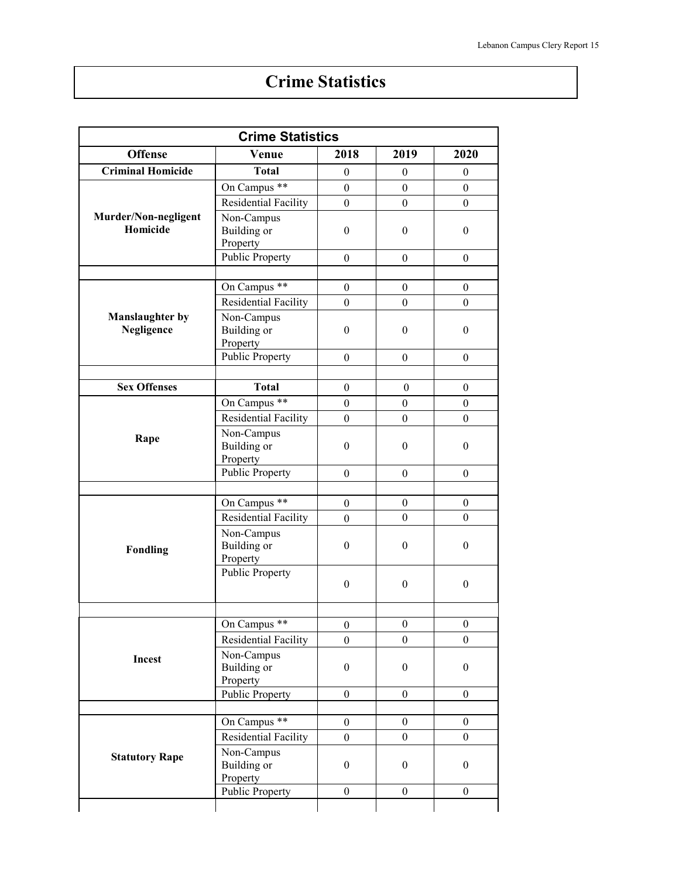# **Crime Statistics**

|                                      | <b>Crime Statistics</b>                                       |                  |                  |                  |
|--------------------------------------|---------------------------------------------------------------|------------------|------------------|------------------|
| <b>Offense</b>                       | Venue                                                         | 2018             | 2019             | 2020             |
| <b>Criminal Homicide</b>             | <b>Total</b>                                                  | $\theta$         | $\boldsymbol{0}$ | $\theta$         |
|                                      | On Campus **                                                  | $\boldsymbol{0}$ | $\boldsymbol{0}$ | $\boldsymbol{0}$ |
|                                      | Residential Facility                                          | $\boldsymbol{0}$ | $\boldsymbol{0}$ | $\boldsymbol{0}$ |
| Murder/Non-negligent<br>Homicide     | Non-Campus<br>Building or<br>Property                         | $\boldsymbol{0}$ | $\boldsymbol{0}$ | $\boldsymbol{0}$ |
|                                      | <b>Public Property</b>                                        | $\boldsymbol{0}$ | $\boldsymbol{0}$ | $\boldsymbol{0}$ |
|                                      |                                                               |                  |                  |                  |
|                                      | On Campus **                                                  | $\boldsymbol{0}$ | $\boldsymbol{0}$ | $\mathbf{0}$     |
|                                      | Residential Facility                                          | $\boldsymbol{0}$ | $\boldsymbol{0}$ | $\boldsymbol{0}$ |
| <b>Manslaughter by</b><br>Negligence | Non-Campus<br>Building or<br>Property                         | $\boldsymbol{0}$ | $\boldsymbol{0}$ | $\boldsymbol{0}$ |
|                                      | Public Property                                               | $\boldsymbol{0}$ | $\boldsymbol{0}$ | $\boldsymbol{0}$ |
|                                      |                                                               |                  |                  |                  |
| <b>Sex Offenses</b>                  | <b>Total</b>                                                  | $\boldsymbol{0}$ | $\mathbf{0}$     | $\mathbf{0}$     |
|                                      | On Campus <sup>**</sup>                                       | $\boldsymbol{0}$ | $\boldsymbol{0}$ | $\boldsymbol{0}$ |
| Rape                                 | <b>Residential Facility</b>                                   | $\boldsymbol{0}$ | $\boldsymbol{0}$ | $\boldsymbol{0}$ |
|                                      | Non-Campus<br>Building or<br>Property                         | $\boldsymbol{0}$ | $\boldsymbol{0}$ | $\boldsymbol{0}$ |
|                                      | <b>Public Property</b>                                        | $\boldsymbol{0}$ | $\boldsymbol{0}$ | $\boldsymbol{0}$ |
|                                      |                                                               |                  |                  |                  |
|                                      | On Campus <sup>**</sup>                                       | $\boldsymbol{0}$ | $\boldsymbol{0}$ | $\boldsymbol{0}$ |
|                                      | <b>Residential Facility</b>                                   | $\boldsymbol{0}$ | $\boldsymbol{0}$ | $\mathbf{0}$     |
| <b>Fondling</b>                      | Non-Campus<br>Building or<br>Property                         | $\boldsymbol{0}$ | $\boldsymbol{0}$ | $\boldsymbol{0}$ |
|                                      | <b>Public Property</b>                                        | $\boldsymbol{0}$ | $\boldsymbol{0}$ | $\boldsymbol{0}$ |
|                                      | $***$<br>On Campus                                            | $\boldsymbol{0}$ | $\boldsymbol{0}$ | $\boldsymbol{0}$ |
|                                      |                                                               | $\theta$         | $\boldsymbol{0}$ | $\boldsymbol{0}$ |
| Incest                               | Residential Facility<br>Non-Campus<br>Building or<br>Property | $\boldsymbol{0}$ | $\boldsymbol{0}$ | $\boldsymbol{0}$ |
|                                      | Public Property                                               | $\boldsymbol{0}$ | $\boldsymbol{0}$ | $\boldsymbol{0}$ |
|                                      |                                                               |                  |                  |                  |
|                                      | On Campus **                                                  | $\boldsymbol{0}$ | $\boldsymbol{0}$ | $\boldsymbol{0}$ |
|                                      | Residential Facility                                          | $\boldsymbol{0}$ | $\boldsymbol{0}$ | $\mathbf{0}$     |
| <b>Statutory Rape</b>                | Non-Campus<br>Building or<br>Property                         | $\boldsymbol{0}$ | $\boldsymbol{0}$ | $\boldsymbol{0}$ |
|                                      | <b>Public Property</b>                                        | $\boldsymbol{0}$ | $\boldsymbol{0}$ | $\boldsymbol{0}$ |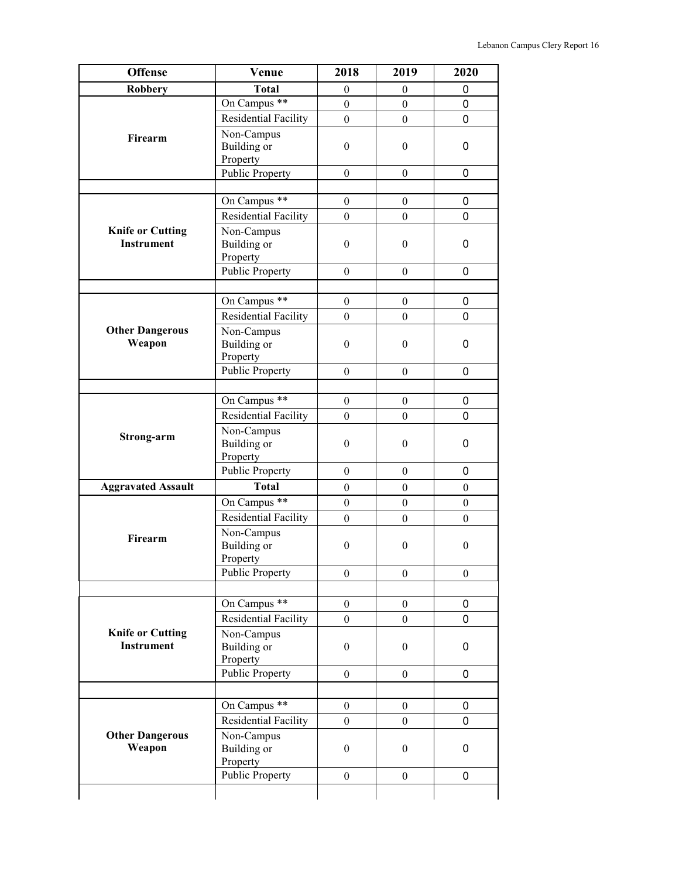| <b>Offense</b>                               | Venue                                 | 2018             | 2019             | 2020             |
|----------------------------------------------|---------------------------------------|------------------|------------------|------------------|
| <b>Robbery</b>                               | <b>Total</b>                          | $\boldsymbol{0}$ | $\boldsymbol{0}$ | 0                |
| Firearm                                      | On Campus **                          | $\boldsymbol{0}$ | $\boldsymbol{0}$ | 0                |
|                                              | Residential Facility                  | $\overline{0}$   | $\overline{0}$   | 0                |
|                                              | Non-Campus<br>Building or<br>Property | $\boldsymbol{0}$ | $\boldsymbol{0}$ | 0                |
|                                              | <b>Public Property</b>                | $\boldsymbol{0}$ | $\boldsymbol{0}$ | 0                |
|                                              |                                       |                  |                  |                  |
|                                              | On Campus **                          | $\boldsymbol{0}$ | $\boldsymbol{0}$ | 0                |
|                                              | Residential Facility                  | $\boldsymbol{0}$ | $\overline{0}$   | 0                |
| <b>Knife or Cutting</b><br><b>Instrument</b> | Non-Campus<br>Building or<br>Property | $\boldsymbol{0}$ | $\mathbf{0}$     | 0                |
|                                              | <b>Public Property</b>                | $\theta$         | $\overline{0}$   | 0                |
|                                              |                                       |                  |                  |                  |
|                                              | On Campus **                          | $\overline{0}$   | $\overline{0}$   | 0                |
|                                              | Residential Facility                  | $\boldsymbol{0}$ | $\boldsymbol{0}$ | 0                |
| <b>Other Dangerous</b><br>Weapon             | Non-Campus<br>Building or<br>Property | $\theta$         | $\theta$         | 0                |
|                                              | <b>Public Property</b>                | $\Omega$         | $\theta$         | 0                |
|                                              |                                       |                  |                  |                  |
|                                              | On Campus **                          | $\boldsymbol{0}$ | $\boldsymbol{0}$ | 0                |
|                                              | Residential Facility                  | $\boldsymbol{0}$ | $\overline{0}$   | 0                |
| Strong-arm                                   | Non-Campus<br>Building or<br>Property | $\boldsymbol{0}$ | $\mathbf{0}$     | 0                |
|                                              | <b>Public Property</b>                | $\boldsymbol{0}$ | $\overline{0}$   | 0                |
| <b>Aggravated Assault</b>                    | <b>Total</b>                          | $\boldsymbol{0}$ | $\boldsymbol{0}$ | $\boldsymbol{0}$ |
|                                              | On Campus **                          | $\boldsymbol{0}$ | $\boldsymbol{0}$ | $\boldsymbol{0}$ |
|                                              | <b>Residential Facility</b>           | $\Omega$         | $\Omega$         | $\theta$         |
| Firearm                                      | Non-Campus<br>Building or<br>Property | $\boldsymbol{0}$ | $\boldsymbol{0}$ | $\boldsymbol{0}$ |
|                                              | <b>Public Property</b>                | $\theta$         | $\Omega$         | $\boldsymbol{0}$ |
|                                              |                                       |                  |                  |                  |
|                                              | On Campus <sup>**</sup>               | $\overline{0}$   | $\overline{0}$   | 0                |
|                                              | Residential Facility                  | $\boldsymbol{0}$ | $\boldsymbol{0}$ | 0                |
| <b>Knife or Cutting</b><br><b>Instrument</b> | Non-Campus<br>Building or<br>Property | $\boldsymbol{0}$ | $\mathbf{0}$     | 0                |
|                                              | <b>Public Property</b>                | $\overline{0}$   | $\theta$         | 0                |
|                                              |                                       |                  |                  |                  |
|                                              | On Campus **                          | $\boldsymbol{0}$ | $\mathbf{0}$     | 0                |
|                                              | Residential Facility                  | $\mathbf{0}$     | $\overline{0}$   | 0                |
| <b>Other Dangerous</b><br>Weapon             | Non-Campus<br>Building or<br>Property | $\boldsymbol{0}$ | $\mathbf{0}$     | 0                |
|                                              | <b>Public Property</b>                | $\boldsymbol{0}$ | $\boldsymbol{0}$ | 0                |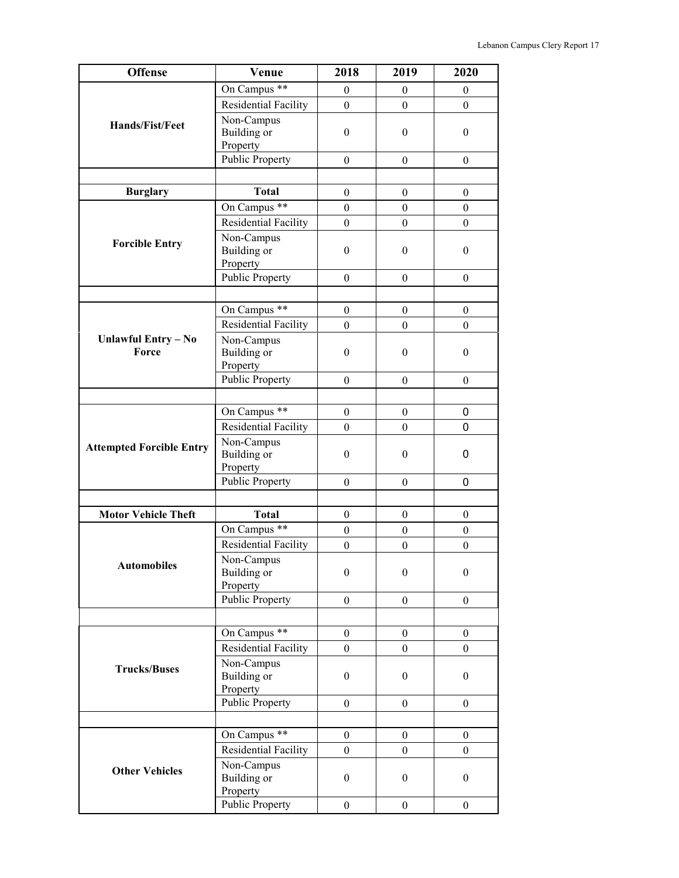| <b>Offense</b>                  | Venue                                 | 2018             | 2019             | 2020             |
|---------------------------------|---------------------------------------|------------------|------------------|------------------|
|                                 | On Campus **                          | $\boldsymbol{0}$ | $\boldsymbol{0}$ | $\mathbf{0}$     |
|                                 | Residential Facility                  | $\boldsymbol{0}$ | $\boldsymbol{0}$ | $\overline{0}$   |
| <b>Hands/Fist/Feet</b>          | Non-Campus<br><b>Building</b> or      | $\boldsymbol{0}$ | $\boldsymbol{0}$ | $\boldsymbol{0}$ |
|                                 | Property<br><b>Public Property</b>    |                  |                  |                  |
|                                 |                                       | $\overline{0}$   | $\theta$         | $\theta$         |
|                                 | <b>Total</b>                          |                  |                  |                  |
| <b>Burglary</b>                 |                                       | $\boldsymbol{0}$ | $\boldsymbol{0}$ | $\boldsymbol{0}$ |
|                                 | On Campus **                          | $\boldsymbol{0}$ | $\boldsymbol{0}$ | $\boldsymbol{0}$ |
|                                 | <b>Residential Facility</b>           | $\boldsymbol{0}$ | $\boldsymbol{0}$ | $\boldsymbol{0}$ |
| <b>Forcible Entry</b>           | Non-Campus<br>Building or<br>Property | $\boldsymbol{0}$ | $\boldsymbol{0}$ | $\boldsymbol{0}$ |
|                                 | <b>Public Property</b>                | $\boldsymbol{0}$ | $\boldsymbol{0}$ | $\mathbf{0}$     |
|                                 |                                       |                  |                  |                  |
|                                 | On Campus **                          | $\boldsymbol{0}$ | $\boldsymbol{0}$ | $\boldsymbol{0}$ |
|                                 | <b>Residential Facility</b>           | $\theta$         | $\theta$         | $\Omega$         |
| Unlawful Entry - No<br>Force    | Non-Campus<br>Building or<br>Property | $\boldsymbol{0}$ | $\boldsymbol{0}$ | $\boldsymbol{0}$ |
|                                 | <b>Public Property</b>                | $\boldsymbol{0}$ | $\boldsymbol{0}$ | $\boldsymbol{0}$ |
|                                 |                                       |                  |                  |                  |
|                                 | On Campus **                          | $\boldsymbol{0}$ | $\boldsymbol{0}$ | 0                |
|                                 | <b>Residential Facility</b>           | $\boldsymbol{0}$ | $\boldsymbol{0}$ | 0                |
| <b>Attempted Forcible Entry</b> | Non-Campus<br>Building or<br>Property | $\boldsymbol{0}$ | $\boldsymbol{0}$ | 0                |
|                                 | <b>Public Property</b>                | $\boldsymbol{0}$ | $\boldsymbol{0}$ | 0                |
|                                 |                                       |                  |                  |                  |
| <b>Motor Vehicle Theft</b>      | <b>Total</b>                          | $\boldsymbol{0}$ | $\boldsymbol{0}$ | $\boldsymbol{0}$ |
|                                 | On Campus **                          | $\boldsymbol{0}$ | $\boldsymbol{0}$ | $\boldsymbol{0}$ |
|                                 | <b>Residential Facility</b>           | $\boldsymbol{0}$ | $\boldsymbol{0}$ | $\boldsymbol{0}$ |
| <b>Automobiles</b>              | Non-Campus<br>Building or<br>Property | $\boldsymbol{0}$ | $\boldsymbol{0}$ | $\boldsymbol{0}$ |
|                                 | <b>Public Property</b>                | $\boldsymbol{0}$ | $\boldsymbol{0}$ | $\boldsymbol{0}$ |
|                                 |                                       |                  |                  |                  |
|                                 | On Campus **                          | $\boldsymbol{0}$ | $\boldsymbol{0}$ | $\overline{0}$   |
|                                 | <b>Residential Facility</b>           | $\overline{0}$   | $\boldsymbol{0}$ | $\boldsymbol{0}$ |
| <b>Trucks/Buses</b>             | Non-Campus<br>Building or<br>Property | $\boldsymbol{0}$ | $\boldsymbol{0}$ | $\boldsymbol{0}$ |
|                                 | <b>Public Property</b>                | $\boldsymbol{0}$ | $\boldsymbol{0}$ | $\overline{0}$   |
|                                 |                                       |                  |                  |                  |
|                                 | On Campus **                          | $\boldsymbol{0}$ | $\boldsymbol{0}$ | $\boldsymbol{0}$ |
|                                 | Residential Facility                  | $\boldsymbol{0}$ | $\boldsymbol{0}$ | $\overline{0}$   |
| <b>Other Vehicles</b>           | Non-Campus<br>Building or<br>Property | $\mathbf{0}$     | $\boldsymbol{0}$ | $\boldsymbol{0}$ |
|                                 | <b>Public Property</b>                | $\boldsymbol{0}$ | $\boldsymbol{0}$ | $\overline{0}$   |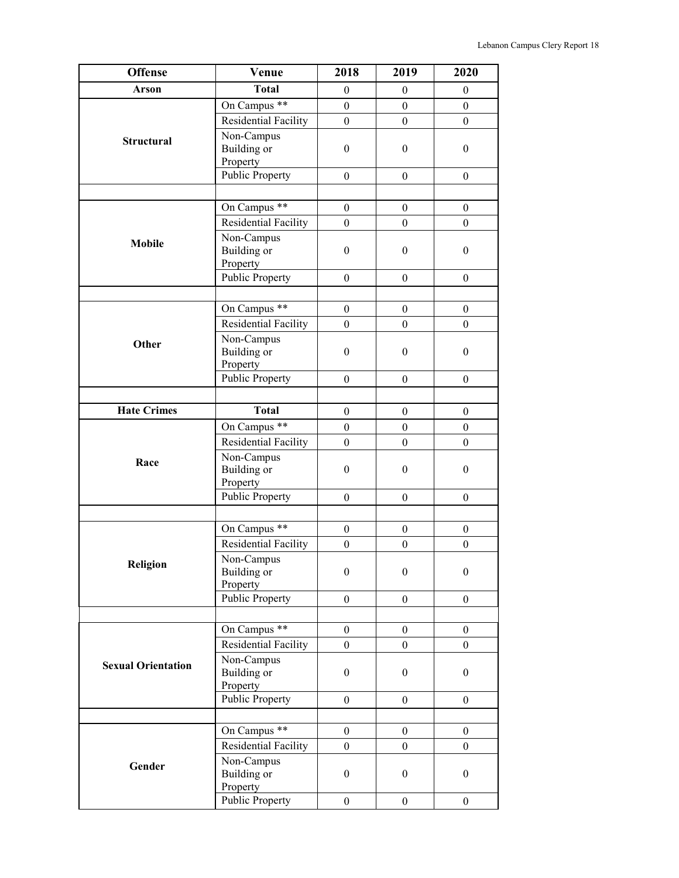| <b>Offense</b>            | Venue                                        | 2018             | 2019             | 2020             |
|---------------------------|----------------------------------------------|------------------|------------------|------------------|
| Arson                     | <b>Total</b>                                 | $\boldsymbol{0}$ | $\boldsymbol{0}$ | $\boldsymbol{0}$ |
| <b>Structural</b>         | On Campus **                                 | $\boldsymbol{0}$ | $\boldsymbol{0}$ | $\boldsymbol{0}$ |
|                           | Residential Facility                         | $\boldsymbol{0}$ | $\boldsymbol{0}$ | $\boldsymbol{0}$ |
|                           | Non-Campus<br><b>Building</b> or<br>Property | $\boldsymbol{0}$ | $\boldsymbol{0}$ | $\boldsymbol{0}$ |
|                           | <b>Public Property</b>                       | $\theta$         | $\boldsymbol{0}$ | $\boldsymbol{0}$ |
|                           |                                              |                  |                  |                  |
|                           | On Campus <sup>**</sup>                      | $\boldsymbol{0}$ | $\boldsymbol{0}$ | $\boldsymbol{0}$ |
|                           | Residential Facility                         | $\boldsymbol{0}$ | $\boldsymbol{0}$ | $\boldsymbol{0}$ |
| <b>Mobile</b>             | Non-Campus<br>Building or<br>Property        | $\boldsymbol{0}$ | $\boldsymbol{0}$ | $\boldsymbol{0}$ |
|                           | Public Property                              | $\boldsymbol{0}$ | $\boldsymbol{0}$ | $\boldsymbol{0}$ |
|                           |                                              |                  |                  |                  |
|                           | On Campus **                                 | $\mathbf{0}$     | $\boldsymbol{0}$ | $\mathbf{0}$     |
|                           | Residential Facility                         | $\boldsymbol{0}$ | $\boldsymbol{0}$ | $\boldsymbol{0}$ |
| Other                     | Non-Campus<br><b>Building</b> or<br>Property | $\boldsymbol{0}$ | $\boldsymbol{0}$ | $\boldsymbol{0}$ |
|                           | <b>Public Property</b>                       | $\boldsymbol{0}$ | $\boldsymbol{0}$ | $\boldsymbol{0}$ |
|                           |                                              |                  |                  |                  |
| <b>Hate Crimes</b>        | <b>Total</b>                                 | $\boldsymbol{0}$ | $\boldsymbol{0}$ | $\boldsymbol{0}$ |
|                           | On Campus **                                 | $\boldsymbol{0}$ | $\boldsymbol{0}$ | $\mathbf{0}$     |
|                           | Residential Facility                         | $\boldsymbol{0}$ | $\boldsymbol{0}$ | $\boldsymbol{0}$ |
| Race                      | Non-Campus<br><b>Building</b> or<br>Property | $\boldsymbol{0}$ | $\boldsymbol{0}$ | $\boldsymbol{0}$ |
|                           | <b>Public Property</b>                       | $\boldsymbol{0}$ | $\boldsymbol{0}$ | $\boldsymbol{0}$ |
|                           |                                              |                  |                  |                  |
|                           | On Campus **                                 | $\boldsymbol{0}$ | $\boldsymbol{0}$ | $\boldsymbol{0}$ |
|                           | <b>Residential Facility</b>                  | $\boldsymbol{0}$ | $\boldsymbol{0}$ | $\boldsymbol{0}$ |
| Religion                  | Non-Campus<br>Building or<br>Property        | $\boldsymbol{0}$ | $\boldsymbol{0}$ | $\boldsymbol{0}$ |
|                           | <b>Public Property</b>                       | $\boldsymbol{0}$ | $\boldsymbol{0}$ | $\boldsymbol{0}$ |
|                           |                                              |                  |                  |                  |
|                           | On Campus **                                 | $\boldsymbol{0}$ | $\boldsymbol{0}$ | $\boldsymbol{0}$ |
|                           | Residential Facility                         | $\boldsymbol{0}$ | $\boldsymbol{0}$ | $\boldsymbol{0}$ |
| <b>Sexual Orientation</b> | Non-Campus<br>Building or<br>Property        | $\boldsymbol{0}$ | $\boldsymbol{0}$ | $\boldsymbol{0}$ |
|                           | <b>Public Property</b>                       | $\boldsymbol{0}$ | $\boldsymbol{0}$ | $\boldsymbol{0}$ |
|                           |                                              |                  |                  |                  |
|                           | On Campus **                                 | $\boldsymbol{0}$ | $\boldsymbol{0}$ | $\boldsymbol{0}$ |
|                           | Residential Facility                         | $\boldsymbol{0}$ | $\boldsymbol{0}$ | $\boldsymbol{0}$ |
| Gender                    | Non-Campus<br>Building or<br>Property        | $\boldsymbol{0}$ | $\boldsymbol{0}$ | $\boldsymbol{0}$ |
|                           | <b>Public Property</b>                       | $\boldsymbol{0}$ | $\boldsymbol{0}$ | $\overline{0}$   |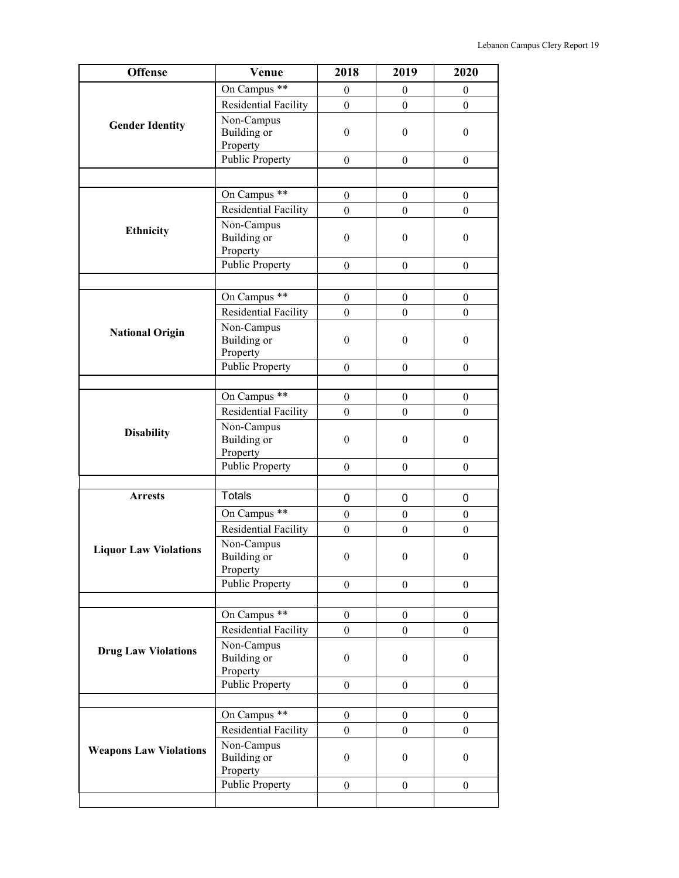| <b>Offense</b>                | Venue                              | 2018             | 2019             | 2020             |
|-------------------------------|------------------------------------|------------------|------------------|------------------|
|                               | On Campus **                       | $\boldsymbol{0}$ | $\boldsymbol{0}$ | $\boldsymbol{0}$ |
|                               | <b>Residential Facility</b>        | $\boldsymbol{0}$ | $\boldsymbol{0}$ | $\mathbf{0}$     |
|                               | Non-Campus                         |                  |                  |                  |
| <b>Gender Identity</b>        | Building or                        | $\boldsymbol{0}$ | $\boldsymbol{0}$ | $\boldsymbol{0}$ |
|                               | Property                           |                  |                  |                  |
|                               | <b>Public Property</b>             | $\overline{0}$   | $\boldsymbol{0}$ | $\overline{0}$   |
|                               |                                    |                  |                  |                  |
|                               | On Campus **                       | $\boldsymbol{0}$ | $\boldsymbol{0}$ | $\overline{0}$   |
|                               | Residential Facility               | $\boldsymbol{0}$ | $\boldsymbol{0}$ | $\boldsymbol{0}$ |
|                               | Non-Campus                         |                  |                  |                  |
| <b>Ethnicity</b>              | Building or                        | $\boldsymbol{0}$ | $\boldsymbol{0}$ | $\boldsymbol{0}$ |
|                               | Property                           |                  |                  |                  |
|                               | Public Property                    | $\boldsymbol{0}$ | $\boldsymbol{0}$ | $\boldsymbol{0}$ |
|                               |                                    |                  |                  |                  |
|                               | On Campus **                       | $\boldsymbol{0}$ | $\boldsymbol{0}$ | $\boldsymbol{0}$ |
|                               | Residential Facility               | $\boldsymbol{0}$ | $\boldsymbol{0}$ | $\overline{0}$   |
| <b>National Origin</b>        | Non-Campus                         |                  |                  |                  |
|                               | Building or                        | $\boldsymbol{0}$ | $\boldsymbol{0}$ | $\boldsymbol{0}$ |
|                               | Property                           |                  |                  |                  |
|                               | <b>Public Property</b>             | $\boldsymbol{0}$ | $\boldsymbol{0}$ | $\boldsymbol{0}$ |
|                               |                                    |                  |                  |                  |
|                               | On Campus **                       | $\boldsymbol{0}$ | $\boldsymbol{0}$ | $\boldsymbol{0}$ |
|                               | <b>Residential Facility</b>        | $\boldsymbol{0}$ | $\boldsymbol{0}$ | $\overline{0}$   |
| <b>Disability</b>             | Non-Campus                         |                  |                  |                  |
|                               | Building or                        | $\boldsymbol{0}$ | $\boldsymbol{0}$ | $\theta$         |
|                               | Property<br><b>Public Property</b> |                  |                  |                  |
|                               |                                    | $\boldsymbol{0}$ | $\boldsymbol{0}$ | $\boldsymbol{0}$ |
| <b>Arrests</b>                | <b>Totals</b>                      |                  |                  |                  |
|                               |                                    | 0                | 0                | 0                |
|                               | On Campus **                       | $\boldsymbol{0}$ | $\boldsymbol{0}$ | $\boldsymbol{0}$ |
|                               | Residential Facility               | $\boldsymbol{0}$ | $\boldsymbol{0}$ | $\boldsymbol{0}$ |
| <b>Liquor Law Violations</b>  | Non-Campus                         |                  |                  |                  |
|                               | Building or<br>Property            | $\mathbf{0}$     | $\boldsymbol{0}$ | $\mathbf{0}$     |
|                               | <b>Public Property</b>             | $\boldsymbol{0}$ | $\boldsymbol{0}$ | $\boldsymbol{0}$ |
|                               |                                    |                  |                  |                  |
|                               | On Campus **                       | $\boldsymbol{0}$ | $\boldsymbol{0}$ | $\boldsymbol{0}$ |
|                               | Residential Facility               | $\boldsymbol{0}$ | $\boldsymbol{0}$ | $\overline{0}$   |
|                               | Non-Campus                         |                  |                  |                  |
| <b>Drug Law Violations</b>    | Building or                        | $\boldsymbol{0}$ | $\boldsymbol{0}$ | $\boldsymbol{0}$ |
|                               | Property                           |                  |                  |                  |
|                               | Public Property                    | $\boldsymbol{0}$ | $\mathbf{0}$     | $\overline{0}$   |
|                               |                                    |                  |                  |                  |
|                               | On Campus **                       | $\boldsymbol{0}$ | $\boldsymbol{0}$ | $\boldsymbol{0}$ |
|                               | <b>Residential Facility</b>        | $\boldsymbol{0}$ | $\boldsymbol{0}$ | $\boldsymbol{0}$ |
| <b>Weapons Law Violations</b> | Non-Campus                         |                  |                  |                  |
|                               | Building or                        | $\boldsymbol{0}$ | $\boldsymbol{0}$ | $\boldsymbol{0}$ |
|                               | Property                           |                  |                  |                  |
|                               | <b>Public Property</b>             | $\boldsymbol{0}$ | $\boldsymbol{0}$ | $\overline{0}$   |
|                               |                                    |                  |                  |                  |